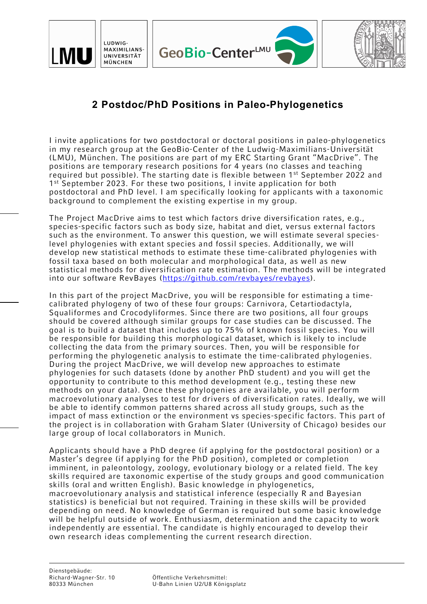



## **2 Postdoc/PhD Positions in Paleo-Phylogenetics**

I invite applications for two postdoctoral or doctoral positions in paleo-phylogenetics in my research group at the GeoBio-Center of the Ludwig-Maximilians-Universität (LMU), München. The positions are part of my ERC Starting Grant "MacDrive". The positions are temporary research positions for 4 years (no classes and teaching required but possible). The starting date is flexible between 1<sup>st</sup> September 2022 and 1<sup>st</sup> September 2023. For these two positions, I invite application for both postdoctoral and PhD level. I am specifically looking for applicants with a taxonomic background to complement the existing expertise in my group.

The Project MacDrive aims to test which factors drive diversification rates, e.g., species-specific factors such as body size, habitat and diet, versus external factors such as the environment. To answer this question, we will estimate several specieslevel phylogenies with extant species and fossil species. Additionally, we will develop new statistical methods to estimate these time-calibrated phylogenies with fossil taxa based on both molecular and morphological data, as well as new statistical methods for diversification rate estimation. The methods will be integrated into our software RevBayes (https://github.com/revbayes/revbayes).

In this part of the project MacDrive, you will be responsible for estimating a timecalibrated phylogeny of two of these four groups: Carnivora, Cetartiodactyla, Squaliformes and Crocodyliformes. Since there are two positions, all four groups should be covered although similar groups for case studies can be discussed. The goal is to build a dataset that includes up to 75% of known fossil species. You will be responsible for building this morphological dataset, which is likely to include collecting the data from the primary sources. Then, you will be responsible for performing the phylogenetic analysis to estimate the time-calibrated phylogenies. During the project MacDrive, we will develop new approaches to estimate phylogenies for such datasets (done by another PhD student) and you will get the opportunity to contribute to this method development (e.g., testing these new methods on your data). Once these phylogenies are available, you will perform macroevolutionary analyses to test for drivers of diversification rates. Ideally, we will be able to identify common patterns shared across all study groups, such as the impact of mass extinction or the environment vs species-specific factors. This part of the project is in collaboration with Graham Slater (University of Chicago) besides our large group of local collaborators in Munich.

Applicants should have a PhD degree (if applying for the postdoctoral position) or a Master's degree (if applying for the PhD position), completed or completion imminent, in paleontology, zoology, evolutionary biology or a related field. The key skills required are taxonomic expertise of the study groups and good communication skills (oral and written English). Basic knowledge in phylogenetics, macroevolutionary analysis and statistical inference (especially R and Bayesian statistics) is beneficial but not required. Training in these skills will be provided depending on need. No knowledge of German is required but some basic knowledge will be helpful outside of work. Enthusiasm, determination and the capacity to work independently are essential. The candidate is highly encouraged to develop their own research ideas complementing the current research direction.